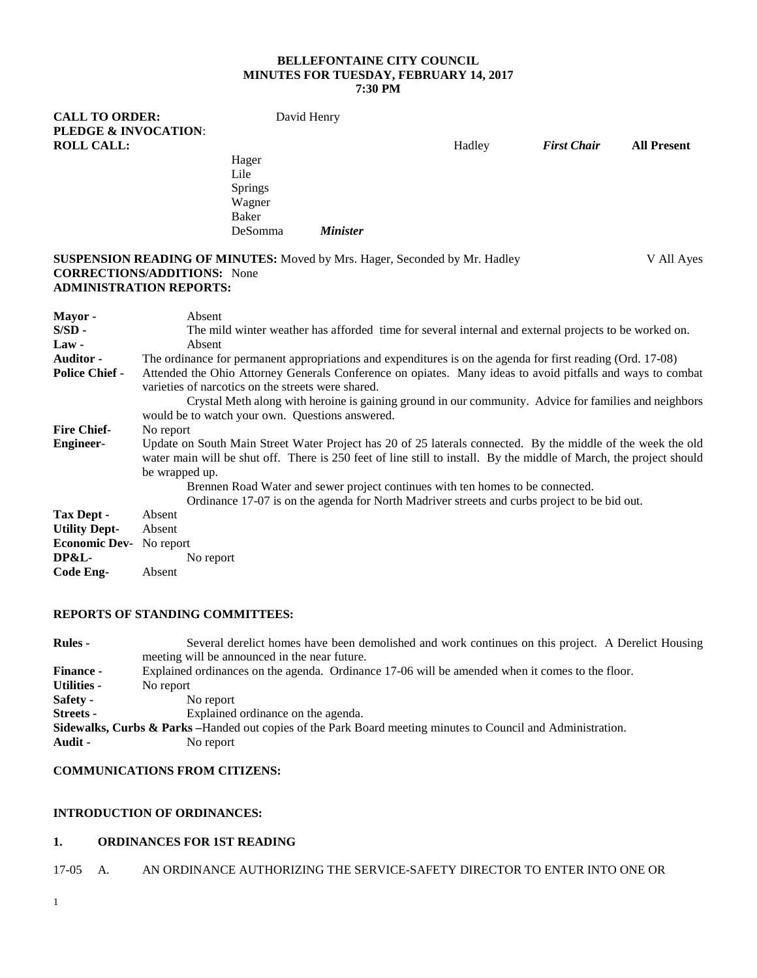#### **BELLEFONTAINE CITY COUNCIL MINUTES FOR TUESDAY, FEBRUARY 14, 2017 7:30 PM**

**CALL TO ORDER:** David Henry **PLEDGE & INVOCATION**: **ROLL CALL:** Hadley *First Chair* **All Present** Hager Lile Springs Wagner Baker DeSomma *Minister* **SUSPENSION READING OF MINUTES:** Moved by Mrs. Hager, Seconded by Mr. Hadley V All Ayes **CORRECTIONS/ADDITIONS:** None **ADMINISTRATION REPORTS: Mayor -** Absent **S/SD -** The mild winter weather has afforded time for several internal and external projects to be worked on.<br>Law - Absent Absent **Auditor -** The ordinance for permanent appropriations and expenditures is on the agenda for first reading (Ord. 17-08) **Police Chief -** Attended the Ohio Attorney Generals Conference on opiates. Many ideas to avoid pitfalls and ways to combat varieties of narcotics on the streets were shared. Crystal Meth along with heroine is gaining ground in our community. Advice for families and neighbors would be to watch your own. Questions answered. **Fire Chief-** No report **Engineer-** Update on South Main Street Water Project has 20 of 25 laterals connected. By the middle of the week the old water main will be shut off. There is 250 feet of line still to install. By the middle of March, the project should be wrapped up. Brennen Road Water and sewer project continues with ten homes to be connected. Ordinance 17-07 is on the agenda for North Madriver streets and curbs project to be bid out. **Tax Dept -** Absent **Utility Dept-** Absent **Economic Dev-** No report<br>DP&L-No report **Code Eng-** Absent

## **REPORTS OF STANDING COMMITTEES:**

| <b>Rules -</b>     | Several derelict homes have been demolished and work continues on this project. A Derelict Housing<br>meeting will be announced in the near future. |
|--------------------|-----------------------------------------------------------------------------------------------------------------------------------------------------|
| <b>Finance -</b>   | Explained ordinances on the agenda. Ordinance 17-06 will be amended when it comes to the floor.                                                     |
| <b>Utilities -</b> | No report                                                                                                                                           |
| Safety -           | No report                                                                                                                                           |
| <b>Streets</b> -   | Explained ordinance on the agenda.                                                                                                                  |
|                    | <b>Sidewalks, Curbs &amp; Parks</b> – Handed out copies of the Park Board meeting minutes to Council and Administration.                            |
| Audit -            | No report                                                                                                                                           |

# **COMMUNICATIONS FROM CITIZENS:**

# **INTRODUCTION OF ORDINANCES:**

## **1. ORDINANCES FOR 1ST READING**

### 17-05 A. AN ORDINANCE AUTHORIZING THE SERVICE-SAFETY DIRECTOR TO ENTER INTO ONE OR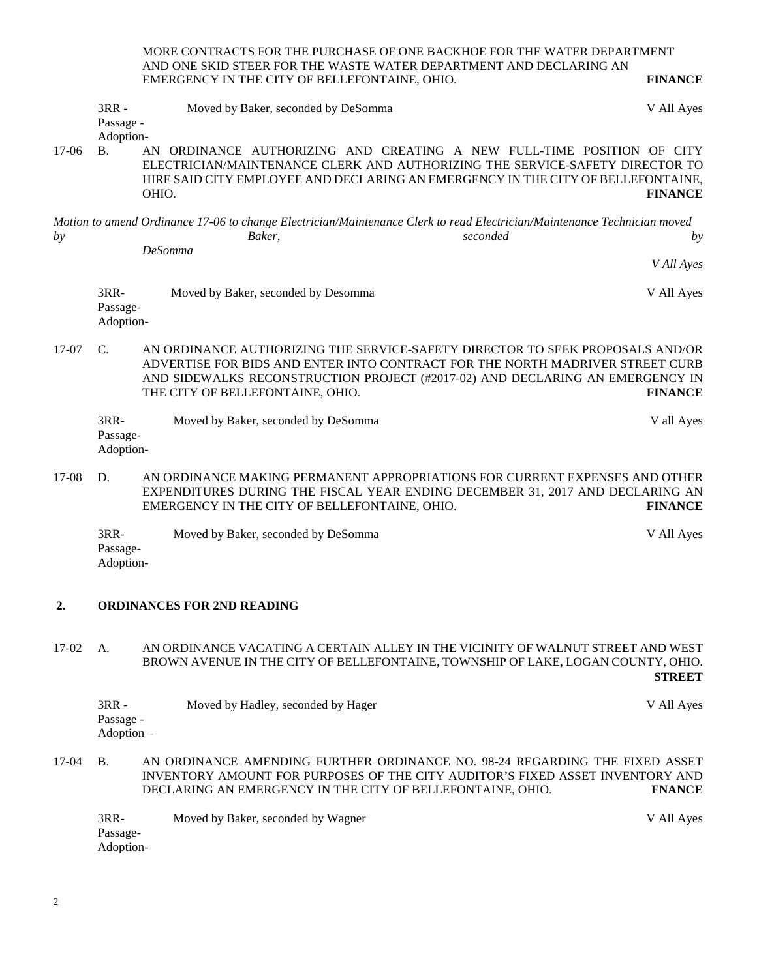MORE CONTRACTS FOR THE PURCHASE OF ONE BACKHOE FOR THE WATER DEPARTMENT AND ONE SKID STEER FOR THE WASTE WATER DEPARTMENT AND DECLARING AN EMERGENCY IN THE CITY OF BELLEFONTAINE, OHIO. **FINANCE**

|         | $3RR -$<br>Passage -            | Moved by Baker, seconded by DeSomma                                                                                                                                                                                                                                                 | V All Ayes     |
|---------|---------------------------------|-------------------------------------------------------------------------------------------------------------------------------------------------------------------------------------------------------------------------------------------------------------------------------------|----------------|
| $17-06$ | Adoption-<br><b>B.</b>          | AN ORDINANCE AUTHORIZING AND CREATING A NEW FULL-TIME POSITION OF CITY<br>ELECTRICIAN/MAINTENANCE CLERK AND AUTHORIZING THE SERVICE-SAFETY DIRECTOR TO<br>HIRE SAID CITY EMPLOYEE AND DECLARING AN EMERGENCY IN THE CITY OF BELLEFONTAINE,<br>OHIO.                                 | <b>FINANCE</b> |
| by      |                                 | Motion to amend Ordinance 17-06 to change Electrician/Maintenance Clerk to read Electrician/Maintenance Technician moved<br>seconded<br>Baker,<br><b>DeSomma</b>                                                                                                                    | by             |
|         |                                 |                                                                                                                                                                                                                                                                                     | V All Ayes     |
|         | $3RR-$<br>Passage-<br>Adoption- | Moved by Baker, seconded by Desomma                                                                                                                                                                                                                                                 | V All Ayes     |
| $17-07$ | $\mathcal{C}$                   | AN ORDINANCE AUTHORIZING THE SERVICE-SAFETY DIRECTOR TO SEEK PROPOSALS AND/OR<br>ADVERTISE FOR BIDS AND ENTER INTO CONTRACT FOR THE NORTH MADRIVER STREET CURB<br>AND SIDEWALKS RECONSTRUCTION PROJECT (#2017-02) AND DECLARING AN EMERGENCY IN<br>THE CITY OF BELLEFONTAINE, OHIO. | <b>FINANCE</b> |
|         | 3RR-<br>Passage-<br>Adoption-   | Moved by Baker, seconded by DeSomma                                                                                                                                                                                                                                                 | V all Ayes     |
| $17-08$ | D.                              | AN ORDINANCE MAKING PERMANENT APPROPRIATIONS FOR CURRENT EXPENSES AND OTHER<br>EXPENDITURES DURING THE FISCAL YEAR ENDING DECEMBER 31, 2017 AND DECLARING AN<br>EMERGENCY IN THE CITY OF BELLEFONTAINE, OHIO.                                                                       | <b>FINANCE</b> |

3RR- Moved by Baker, seconded by DeSomma V All Ayes Passage-Adoption-

# **2. ORDINANCES FOR 2ND READING**

17-02 A. AN ORDINANCE VACATING A CERTAIN ALLEY IN THE VICINITY OF WALNUT STREET AND WEST BROWN AVENUE IN THE CITY OF BELLEFONTAINE, TOWNSHIP OF LAKE, LOGAN COUNTY, OHIO. **STREET**

|            | $3RR -$<br>Passage -<br>Adoption – | Moved by Hadley, seconded by Hager                                                                                                                                                                                         | V All Ayes    |
|------------|------------------------------------|----------------------------------------------------------------------------------------------------------------------------------------------------------------------------------------------------------------------------|---------------|
| $17-04$ B. |                                    | AN ORDINANCE AMENDING FURTHER ORDINANCE NO. 98-24 REGARDING THE FIXED ASSET<br>INVENTORY AMOUNT FOR PURPOSES OF THE CITY AUDITOR'S FIXED ASSET INVENTORY AND<br>DECLARING AN EMERGENCY IN THE CITY OF BELLEFONTAINE, OHIO. | <b>FNANCE</b> |

3RR- Moved by Baker, seconded by Wagner V All Ayes Passage-Adoption-